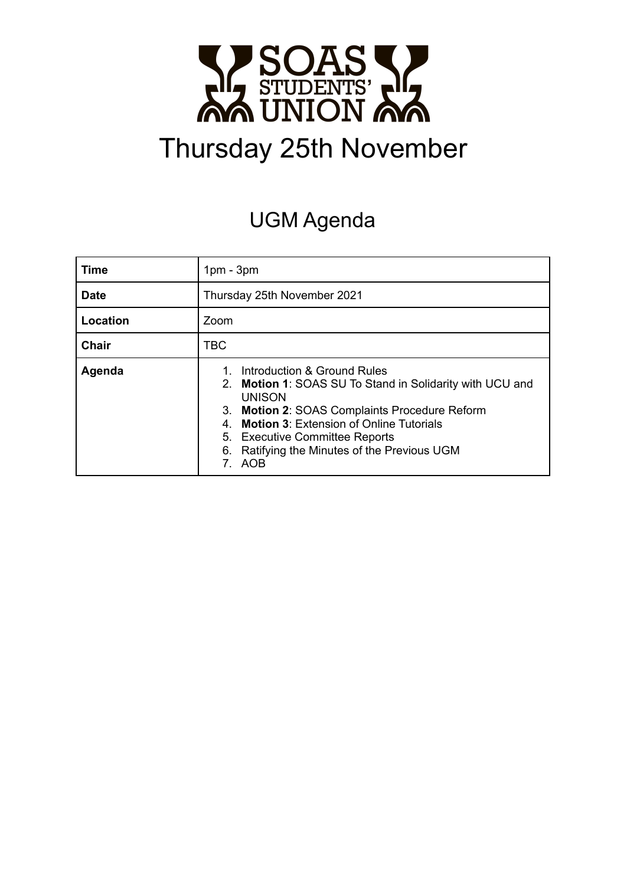

# Thursday 25th November

# UGM Agenda

| Time         | $1pm - 3pm$                                                                                                                                                                                                                                                                                         |  |
|--------------|-----------------------------------------------------------------------------------------------------------------------------------------------------------------------------------------------------------------------------------------------------------------------------------------------------|--|
| <b>Date</b>  | Thursday 25th November 2021                                                                                                                                                                                                                                                                         |  |
| Location     | Zoom                                                                                                                                                                                                                                                                                                |  |
| <b>Chair</b> | <b>TBC</b>                                                                                                                                                                                                                                                                                          |  |
| Agenda       | Introduction & Ground Rules<br>2. Motion 1: SOAS SU To Stand in Solidarity with UCU and<br><b>UNISON</b><br>3. Motion 2: SOAS Complaints Procedure Reform<br>4. Motion 3: Extension of Online Tutorials<br>5. Executive Committee Reports<br>Ratifying the Minutes of the Previous UGM<br>6.<br>AOB |  |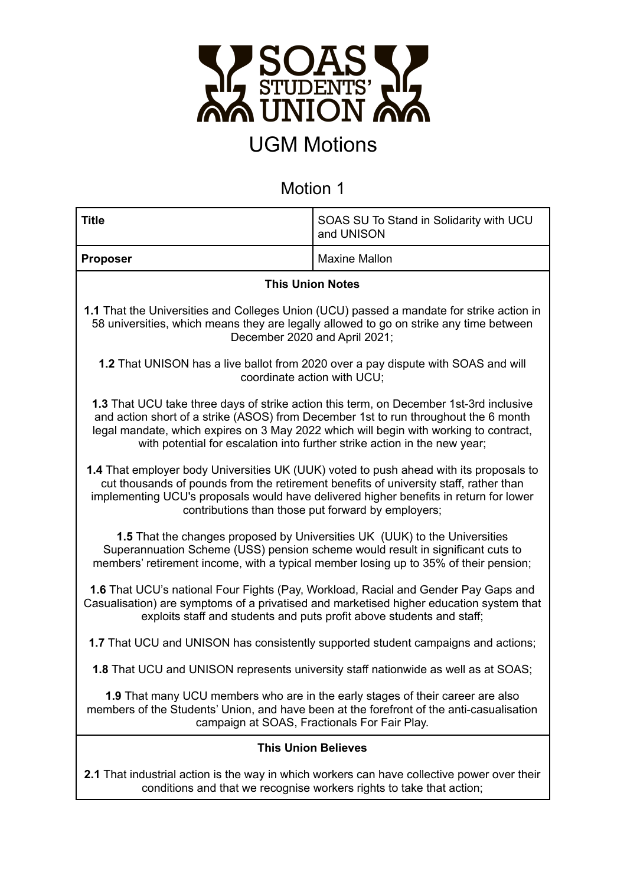

# UGM Motions

### Motion 1

| <b>Title</b>                                                                                                                                                                                                                                                                                                                                        | SOAS SU To Stand in Solidarity with UCU<br>and UNISON |  |  |  |
|-----------------------------------------------------------------------------------------------------------------------------------------------------------------------------------------------------------------------------------------------------------------------------------------------------------------------------------------------------|-------------------------------------------------------|--|--|--|
| <b>Proposer</b>                                                                                                                                                                                                                                                                                                                                     | <b>Maxine Mallon</b>                                  |  |  |  |
| <b>This Union Notes</b>                                                                                                                                                                                                                                                                                                                             |                                                       |  |  |  |
| 1.1 That the Universities and Colleges Union (UCU) passed a mandate for strike action in<br>58 universities, which means they are legally allowed to go on strike any time between<br>December 2020 and April 2021;                                                                                                                                 |                                                       |  |  |  |
| 1.2 That UNISON has a live ballot from 2020 over a pay dispute with SOAS and will<br>coordinate action with UCU;                                                                                                                                                                                                                                    |                                                       |  |  |  |
| 1.3 That UCU take three days of strike action this term, on December 1st-3rd inclusive<br>and action short of a strike (ASOS) from December 1st to run throughout the 6 month<br>legal mandate, which expires on 3 May 2022 which will begin with working to contract,<br>with potential for escalation into further strike action in the new year; |                                                       |  |  |  |
| 1.4 That employer body Universities UK (UUK) voted to push ahead with its proposals to<br>cut thousands of pounds from the retirement benefits of university staff, rather than<br>implementing UCU's proposals would have delivered higher benefits in return for lower<br>contributions than those put forward by employers;                      |                                                       |  |  |  |
| 1.5 That the changes proposed by Universities UK (UUK) to the Universities<br>Superannuation Scheme (USS) pension scheme would result in significant cuts to<br>members' retirement income, with a typical member losing up to 35% of their pension;                                                                                                |                                                       |  |  |  |
| 1.6 That UCU's national Four Fights (Pay, Workload, Racial and Gender Pay Gaps and<br>Casualisation) are symptoms of a privatised and marketised higher education system that<br>exploits staff and students and puts profit above students and staff;                                                                                              |                                                       |  |  |  |
| 1.7 That UCU and UNISON has consistently supported student campaigns and actions;                                                                                                                                                                                                                                                                   |                                                       |  |  |  |
| 1.8 That UCU and UNISON represents university staff nationwide as well as at SOAS;                                                                                                                                                                                                                                                                  |                                                       |  |  |  |
| 1.9 That many UCU members who are in the early stages of their career are also<br>members of the Students' Union, and have been at the forefront of the anti-casualisation<br>campaign at SOAS, Fractionals For Fair Play.                                                                                                                          |                                                       |  |  |  |
| <b>This Union Believes</b>                                                                                                                                                                                                                                                                                                                          |                                                       |  |  |  |
| <b>2.1</b> That industrial action is the way in which workers can have collective power over their<br>conditions and that we recognise workers rights to take that action;                                                                                                                                                                          |                                                       |  |  |  |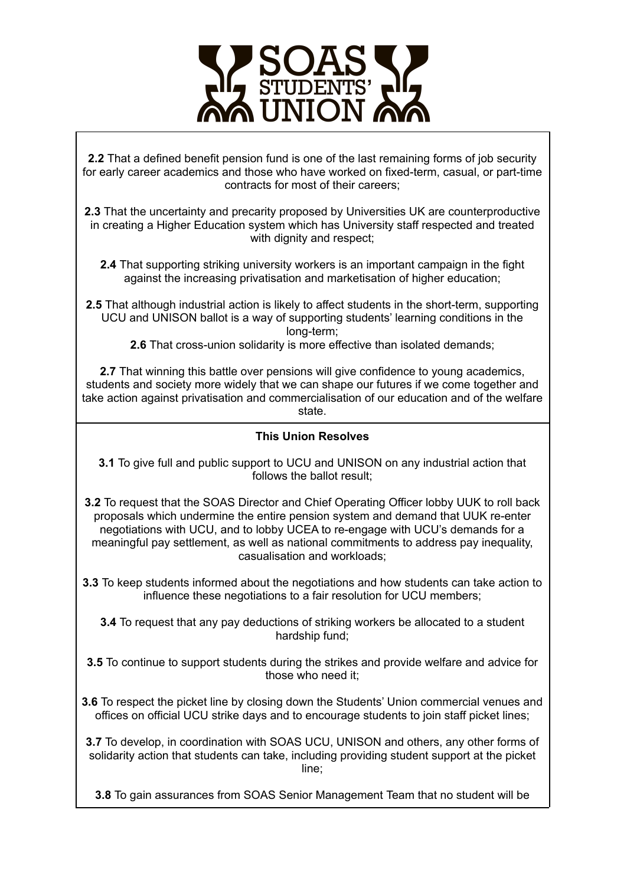

**2.2** That a defined benefit pension fund is one of the last remaining forms of job security for early career academics and those who have worked on fixed-term, casual, or part-time contracts for most of their careers;

**2.3** That the uncertainty and precarity proposed by Universities UK are counterproductive in creating a Higher Education system which has University staff respected and treated with dignity and respect;

**2.4** That supporting striking university workers is an important campaign in the fight against the increasing privatisation and marketisation of higher education;

**2.5** That although industrial action is likely to affect students in the short-term, supporting UCU and UNISON ballot is a way of supporting students' learning conditions in the long-term;

**2.6** That cross-union solidarity is more effective than isolated demands;

**2.7** That winning this battle over pensions will give confidence to young academics, students and society more widely that we can shape our futures if we come together and take action against privatisation and commercialisation of our education and of the welfare state.

#### **This Union Resolves**

**3.1** To give full and public support to UCU and UNISON on any industrial action that follows the ballot result;

**3.2** To request that the SOAS Director and Chief Operating Officer lobby UUK to roll back proposals which undermine the entire pension system and demand that UUK re-enter negotiations with UCU, and to lobby UCEA to re-engage with UCU's demands for a meaningful pay settlement, as well as national commitments to address pay inequality, casualisation and workloads;

**3.3** To keep students informed about the negotiations and how students can take action to influence these negotiations to a fair resolution for UCU members;

**3.4** To request that any pay deductions of striking workers be allocated to a student hardship fund;

**3.5** To continue to support students during the strikes and provide welfare and advice for those who need it;

**3.6** To respect the picket line by closing down the Students' Union commercial venues and offices on official UCU strike days and to encourage students to join staff picket lines;

**3.7** To develop, in coordination with SOAS UCU, UNISON and others, any other forms of solidarity action that students can take, including providing student support at the picket line;

**3.8** To gain assurances from SOAS Senior Management Team that no student will be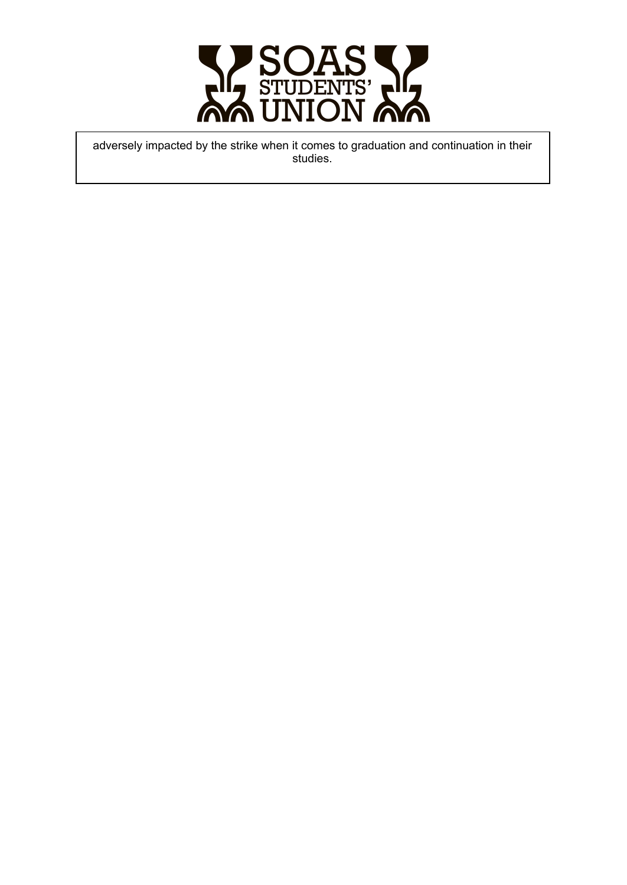

adversely impacted by the strike when it comes to graduation and continuation in their s t u die s.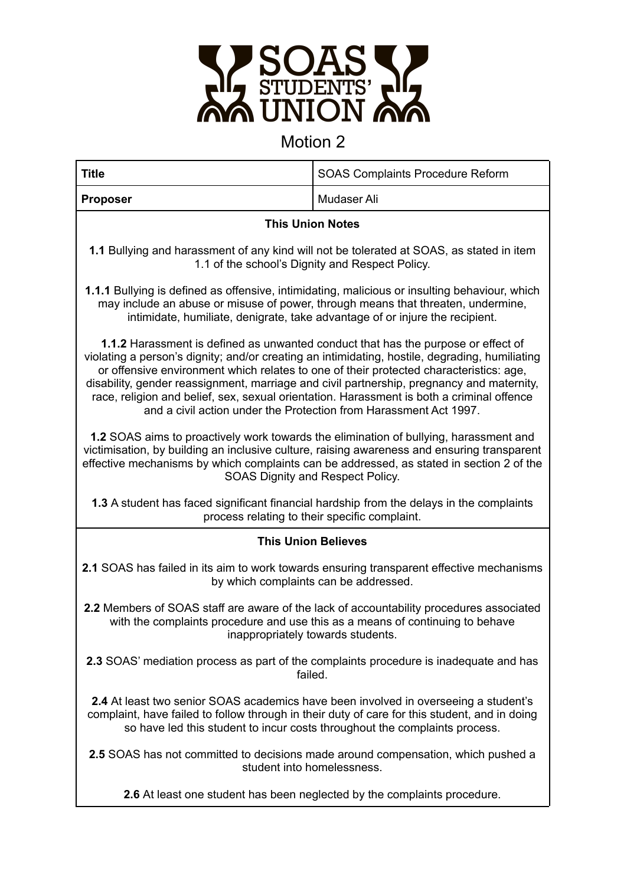

### Motion 2

| <b>Title</b>                                                                                                                                                                                                                                                                                                                                                                                                                                                                                                                                        | <b>SOAS Complaints Procedure Reform</b> |  |  |
|-----------------------------------------------------------------------------------------------------------------------------------------------------------------------------------------------------------------------------------------------------------------------------------------------------------------------------------------------------------------------------------------------------------------------------------------------------------------------------------------------------------------------------------------------------|-----------------------------------------|--|--|
| <b>Proposer</b>                                                                                                                                                                                                                                                                                                                                                                                                                                                                                                                                     | Mudaser Ali                             |  |  |
| <b>This Union Notes</b>                                                                                                                                                                                                                                                                                                                                                                                                                                                                                                                             |                                         |  |  |
| 1.1 Bullying and harassment of any kind will not be tolerated at SOAS, as stated in item<br>1.1 of the school's Dignity and Respect Policy.                                                                                                                                                                                                                                                                                                                                                                                                         |                                         |  |  |
| <b>1.1.1</b> Bullying is defined as offensive, intimidating, malicious or insulting behaviour, which<br>may include an abuse or misuse of power, through means that threaten, undermine,<br>intimidate, humiliate, denigrate, take advantage of or injure the recipient.                                                                                                                                                                                                                                                                            |                                         |  |  |
| <b>1.1.2</b> Harassment is defined as unwanted conduct that has the purpose or effect of<br>violating a person's dignity; and/or creating an intimidating, hostile, degrading, humiliating<br>or offensive environment which relates to one of their protected characteristics: age,<br>disability, gender reassignment, marriage and civil partnership, pregnancy and maternity,<br>race, religion and belief, sex, sexual orientation. Harassment is both a criminal offence<br>and a civil action under the Protection from Harassment Act 1997. |                                         |  |  |
| 1.2 SOAS aims to proactively work towards the elimination of bullying, harassment and<br>victimisation, by building an inclusive culture, raising awareness and ensuring transparent<br>effective mechanisms by which complaints can be addressed, as stated in section 2 of the<br>SOAS Dignity and Respect Policy.                                                                                                                                                                                                                                |                                         |  |  |
| 1.3 A student has faced significant financial hardship from the delays in the complaints<br>process relating to their specific complaint.                                                                                                                                                                                                                                                                                                                                                                                                           |                                         |  |  |
| <b>This Union Believes</b>                                                                                                                                                                                                                                                                                                                                                                                                                                                                                                                          |                                         |  |  |
| 2.1 SOAS has failed in its aim to work towards ensuring transparent effective mechanisms<br>by which complaints can be addressed.                                                                                                                                                                                                                                                                                                                                                                                                                   |                                         |  |  |
| 2.2 Members of SOAS staff are aware of the lack of accountability procedures associated<br>with the complaints procedure and use this as a means of continuing to behave<br>inappropriately towards students.                                                                                                                                                                                                                                                                                                                                       |                                         |  |  |
| 2.3 SOAS' mediation process as part of the complaints procedure is inadequate and has<br>failed.                                                                                                                                                                                                                                                                                                                                                                                                                                                    |                                         |  |  |
| 2.4 At least two senior SOAS academics have been involved in overseeing a student's<br>complaint, have failed to follow through in their duty of care for this student, and in doing<br>so have led this student to incur costs throughout the complaints process.                                                                                                                                                                                                                                                                                  |                                         |  |  |
| <b>2.5</b> SOAS has not committed to decisions made around compensation, which pushed a<br>student into homelessness.                                                                                                                                                                                                                                                                                                                                                                                                                               |                                         |  |  |
| 2.6 At least one student has been neglected by the complaints procedure.                                                                                                                                                                                                                                                                                                                                                                                                                                                                            |                                         |  |  |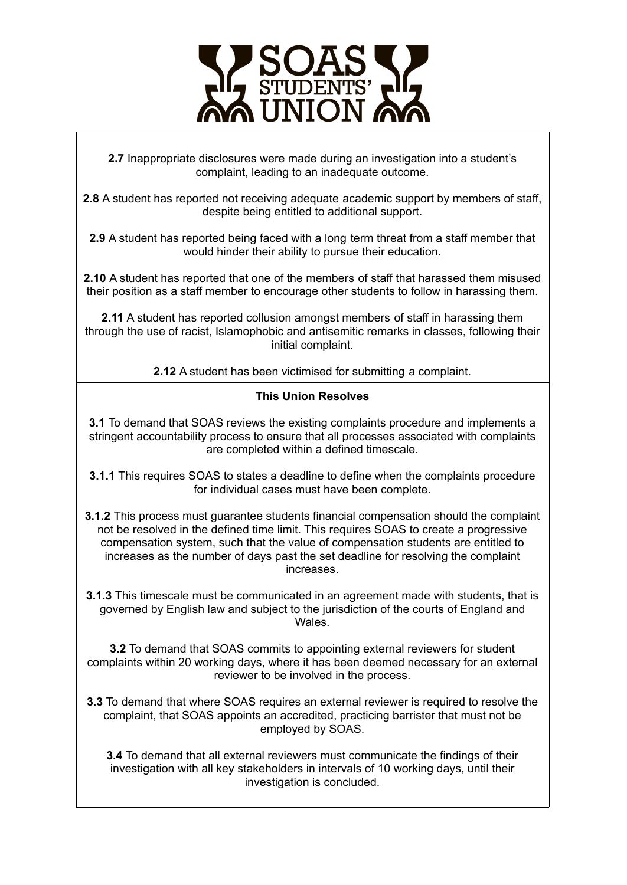

**2.7** Inappropriate disclosures were made during an investigation into a student's complaint, leading to an inadequate outcome.

**2.8** A student has reported not receiving adequate academic support by members of staff, despite being entitled to additional support.

**2.9** A student has reported being faced with a long term threat from a staff member that would hinder their ability to pursue their education.

**2.10** A student has reported that one of the members of staff that harassed them misused their position as a staff member to encourage other students to follow in harassing them.

**2.11** A student has reported collusion amongst members of staff in harassing them through the use of racist, Islamophobic and antisemitic remarks in classes, following their initial complaint.

**2.12** A student has been victimised for submitting a complaint.

#### **This Union Resolves**

**3.1** To demand that SOAS reviews the existing complaints procedure and implements a stringent accountability process to ensure that all processes associated with complaints are completed within a defined timescale.

**3.1.1** This requires SOAS to states a deadline to define when the complaints procedure for individual cases must have been complete.

- **3.1.2** This process must guarantee students financial compensation should the complaint not be resolved in the defined time limit. This requires SOAS to create a progressive compensation system, such that the value of compensation students are entitled to increases as the number of days past the set deadline for resolving the complaint increases.
- **3.1.3** This timescale must be communicated in an agreement made with students, that is governed by English law and subject to the jurisdiction of the courts of England and Wales.

**3.2** To demand that SOAS commits to appointing external reviewers for student complaints within 20 working days, where it has been deemed necessary for an external reviewer to be involved in the process.

**3.3** To demand that where SOAS requires an external reviewer is required to resolve the complaint, that SOAS appoints an accredited, practicing barrister that must not be employed by SOAS.

**3.4** To demand that all external reviewers must communicate the findings of their investigation with all key stakeholders in intervals of 10 working days, until their investigation is concluded.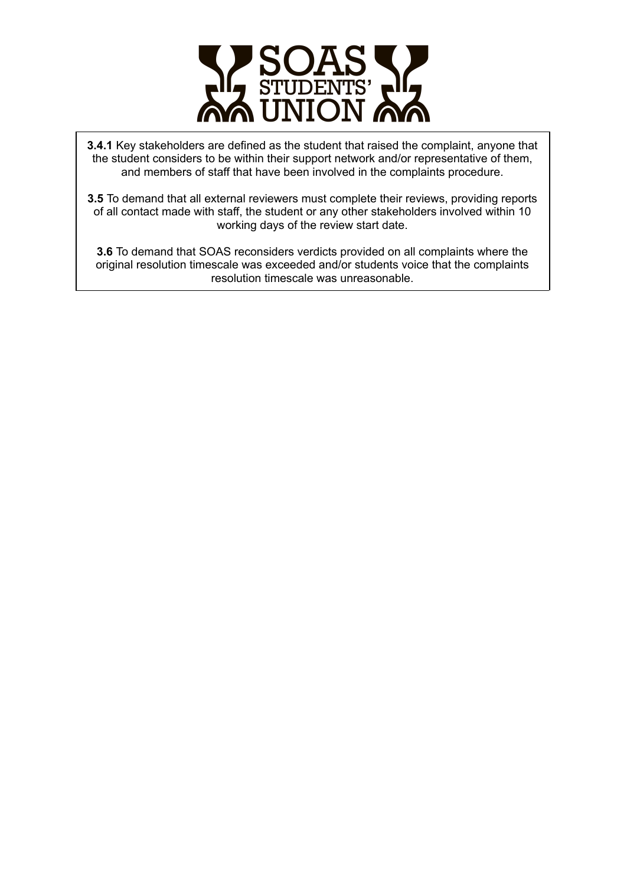

**3.4.1** Key stakeholders are defined as the student that raised the complaint, anyone that the student considers to be within their support network and/or representative of them, and members of staff that have been involved in the complaints procedure.

**3.5** To demand that all external reviewers must complete their reviews, providing reports of all contact made with staff, the student or any other stakeholders involved within 10 working days of the review start date.

**3.6** To demand that SOAS reconsiders verdicts provided on all complaints where the original resolution timescale was exceeded and/or students voice that the complaints resolution timescale was unreasonable.